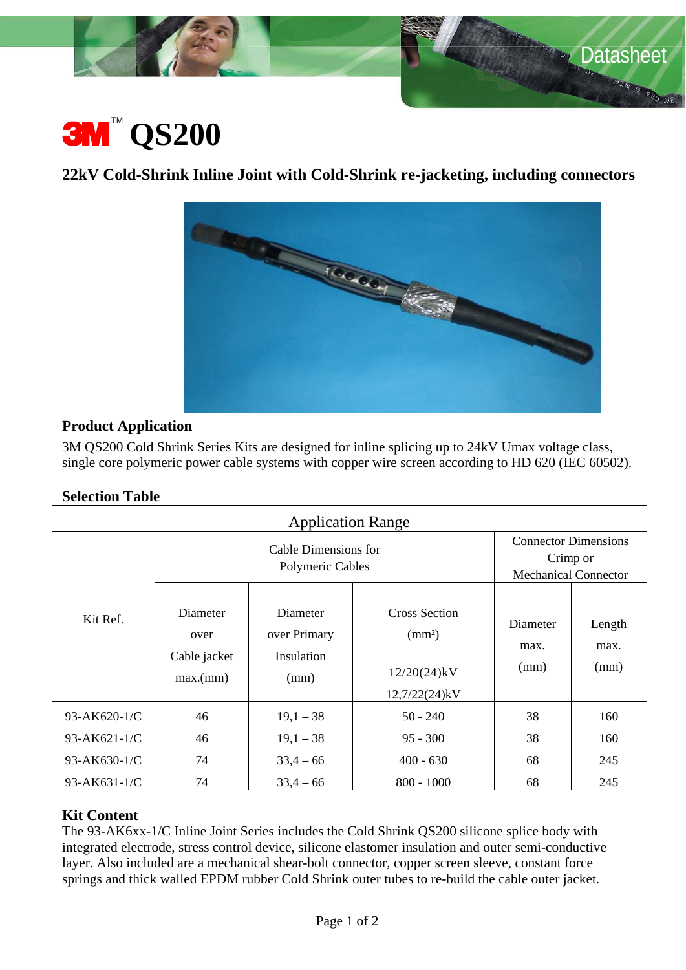

 $\sqrt[3]{\mathcal{S}_D}$  MS

# **3M**  $\text{QS200}$ <br>22kV Cold-Shrink Inline Joint with Cold-Shrink re-jacketing, including connectors



# **Product Application**

3M QS200 Cold Shrink Series Kits are designed for inline splicing up to 24kV Umax voltage class, single core polymeric power cable systems with copper wire screen according to HD 620 (IEC 60502).

#### **Selection Table**

| <b>Application Range</b> |                                              |                                                |                                                                        |                                                                        |                        |
|--------------------------|----------------------------------------------|------------------------------------------------|------------------------------------------------------------------------|------------------------------------------------------------------------|------------------------|
| Kit Ref.                 | Cable Dimensions for<br>Polymeric Cables     |                                                |                                                                        | <b>Connector Dimensions</b><br>Crimp or<br><b>Mechanical Connector</b> |                        |
|                          | Diameter<br>over<br>Cable jacket<br>max.(mm) | Diameter<br>over Primary<br>Insulation<br>(mm) | Cross Section<br>$\text{ (mm2)}$<br>$12/20(24)$ kV<br>$12,7/22(24)$ kV | Diameter<br>max.<br>(mm)                                               | Length<br>max.<br>(mm) |
| 93-AK620-1/C             | 46                                           | $19,1 - 38$                                    | $50 - 240$                                                             | 38                                                                     | 160                    |
| 93-AK621-1/C             | 46                                           | $19,1 - 38$                                    | $95 - 300$                                                             | 38                                                                     | 160                    |
| 93-AK630-1/C             | 74                                           | $33,4-66$                                      | $400 - 630$                                                            | 68                                                                     | 245                    |
| 93-AK631-1/C             | 74                                           | $33,4-66$                                      | $800 - 1000$                                                           | 68                                                                     | 245                    |

# **Kit Content**

The 93-AK6xx-1/C Inline Joint Series includes the Cold Shrink QS200 silicone splice body with integrated electrode, stress control device, silicone elastomer insulation and outer semi-conductive layer. Also included are a mechanical shear-bolt connector, copper screen sleeve, constant force springs and thick walled EPDM rubber Cold Shrink outer tubes to re-build the cable outer jacket.